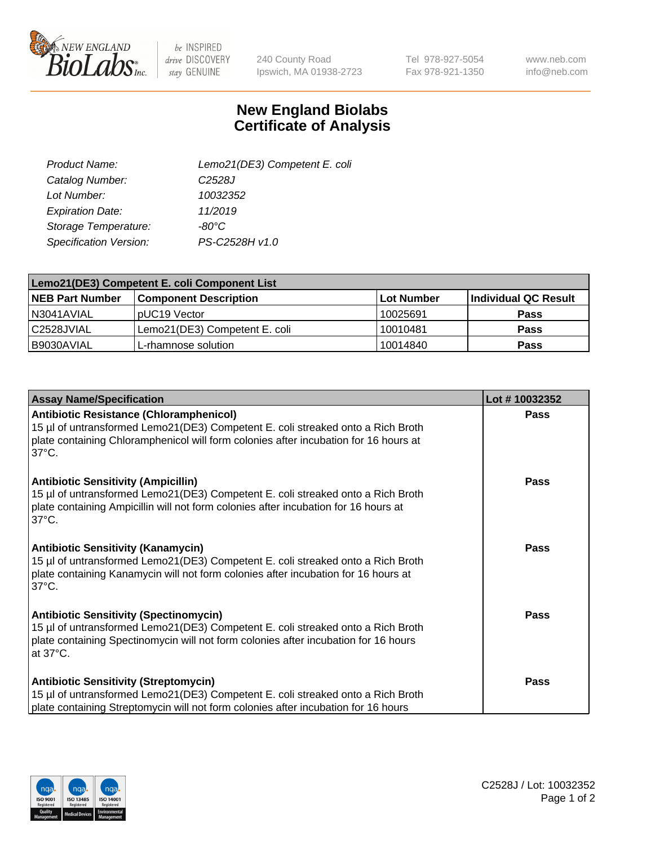

 $be$  INSPIRED drive DISCOVERY stay GENUINE

240 County Road Ipswich, MA 01938-2723 Tel 978-927-5054 Fax 978-921-1350

www.neb.com info@neb.com

## **New England Biolabs Certificate of Analysis**

| Lemo21(DE3) Competent E. coli |
|-------------------------------|
| C <sub>2528</sub> J           |
| 10032352                      |
| 11/2019                       |
| $-80^{\circ}$ C               |
| PS-C2528H v1.0                |
|                               |

| Lemo21(DE3) Competent E. coli Component List |                               |                   |                             |  |
|----------------------------------------------|-------------------------------|-------------------|-----------------------------|--|
| <b>NEB Part Number</b>                       | <b>Component Description</b>  | <b>Lot Number</b> | <b>Individual QC Result</b> |  |
| I N3041AVIAL                                 | IpUC19 Vector                 | 10025691          | Pass                        |  |
| C2528JVIAL                                   | Lemo21(DE3) Competent E. coli | 10010481          | <b>Pass</b>                 |  |
| B9030AVIAL                                   | L-rhamnose solution           | 10014840          | <b>Pass</b>                 |  |

| <b>Assay Name/Specification</b>                                                                                                                                                                                                               | Lot #10032352 |
|-----------------------------------------------------------------------------------------------------------------------------------------------------------------------------------------------------------------------------------------------|---------------|
| Antibiotic Resistance (Chloramphenicol)<br>15 µl of untransformed Lemo21(DE3) Competent E. coli streaked onto a Rich Broth<br>plate containing Chloramphenicol will form colonies after incubation for 16 hours at<br>$37^{\circ}$ C.         | <b>Pass</b>   |
| <b>Antibiotic Sensitivity (Ampicillin)</b><br>15 µl of untransformed Lemo21(DE3) Competent E. coli streaked onto a Rich Broth<br>plate containing Ampicillin will not form colonies after incubation for 16 hours at<br>137°C.                | <b>Pass</b>   |
| <b>Antibiotic Sensitivity (Kanamycin)</b><br>15 µl of untransformed Lemo21(DE3) Competent E. coli streaked onto a Rich Broth<br>plate containing Kanamycin will not form colonies after incubation for 16 hours at<br>$37^{\circ}$ C.         | <b>Pass</b>   |
| <b>Antibiotic Sensitivity (Spectinomycin)</b><br>15 µl of untransformed Lemo21(DE3) Competent E. coli streaked onto a Rich Broth<br>plate containing Spectinomycin will not form colonies after incubation for 16 hours<br>at $37^{\circ}$ C. | <b>Pass</b>   |
| <b>Antibiotic Sensitivity (Streptomycin)</b><br>15 µl of untransformed Lemo21(DE3) Competent E. coli streaked onto a Rich Broth<br>plate containing Streptomycin will not form colonies after incubation for 16 hours                         | <b>Pass</b>   |